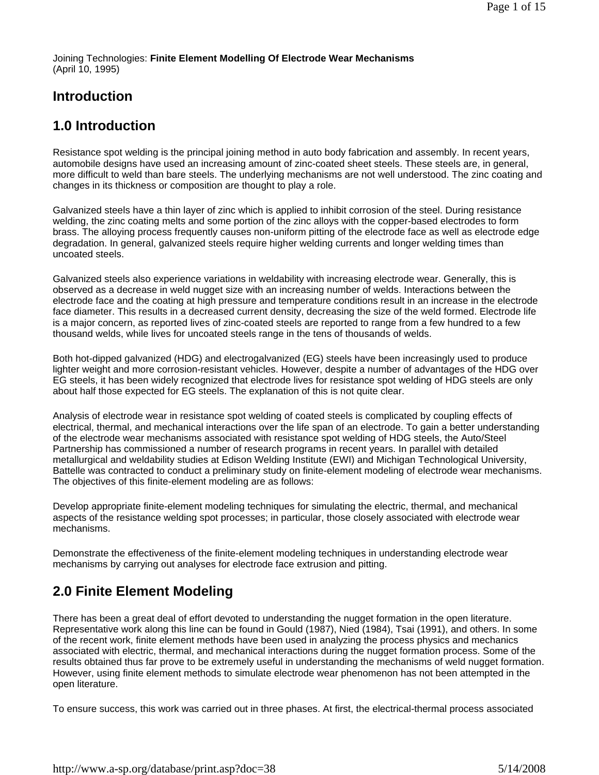Joining Technologies: **Finite Element Modelling Of Electrode Wear Mechanisms** (April 10, 1995)

## **Introduction**

## **1.0 Introduction**

Resistance spot welding is the principal joining method in auto body fabrication and assembly. In recent years, automobile designs have used an increasing amount of zinc-coated sheet steels. These steels are, in general, more difficult to weld than bare steels. The underlying mechanisms are not well understood. The zinc coating and changes in its thickness or composition are thought to play a role.

Galvanized steels have a thin layer of zinc which is applied to inhibit corrosion of the steel. During resistance welding, the zinc coating melts and some portion of the zinc alloys with the copper-based electrodes to form brass. The alloying process frequently causes non-uniform pitting of the electrode face as well as electrode edge degradation. In general, galvanized steels require higher welding currents and longer welding times than uncoated steels.

Galvanized steels also experience variations in weldability with increasing electrode wear. Generally, this is observed as a decrease in weld nugget size with an increasing number of welds. Interactions between the electrode face and the coating at high pressure and temperature conditions result in an increase in the electrode face diameter. This results in a decreased current density, decreasing the size of the weld formed. Electrode life is a major concern, as reported lives of zinc-coated steels are reported to range from a few hundred to a few thousand welds, while lives for uncoated steels range in the tens of thousands of welds.

Both hot-dipped galvanized (HDG) and electrogalvanized (EG) steels have been increasingly used to produce lighter weight and more corrosion-resistant vehicles. However, despite a number of advantages of the HDG over EG steels, it has been widely recognized that electrode lives for resistance spot welding of HDG steels are only about half those expected for EG steels. The explanation of this is not quite clear.

Analysis of electrode wear in resistance spot welding of coated steels is complicated by coupling effects of electrical, thermal, and mechanical interactions over the life span of an electrode. To gain a better understanding of the electrode wear mechanisms associated with resistance spot welding of HDG steels, the Auto/Steel Partnership has commissioned a number of research programs in recent years. In parallel with detailed metallurgical and weldability studies at Edison Welding Institute (EWI) and Michigan Technological University, Battelle was contracted to conduct a preliminary study on finite-element modeling of electrode wear mechanisms. The objectives of this finite-element modeling are as follows:

Develop appropriate finite-element modeling techniques for simulating the electric, thermal, and mechanical aspects of the resistance welding spot processes; in particular, those closely associated with electrode wear mechanisms.

Demonstrate the effectiveness of the finite-element modeling techniques in understanding electrode wear mechanisms by carrying out analyses for electrode face extrusion and pitting.

# **2.0 Finite Element Modeling**

There has been a great deal of effort devoted to understanding the nugget formation in the open literature. Representative work along this line can be found in Gould (1987), Nied (1984), Tsai (1991), and others. In some of the recent work, finite element methods have been used in analyzing the process physics and mechanics associated with electric, thermal, and mechanical interactions during the nugget formation process. Some of the results obtained thus far prove to be extremely useful in understanding the mechanisms of weld nugget formation. However, using finite element methods to simulate electrode wear phenomenon has not been attempted in the open literature.

To ensure success, this work was carried out in three phases. At first, the electrical-thermal process associated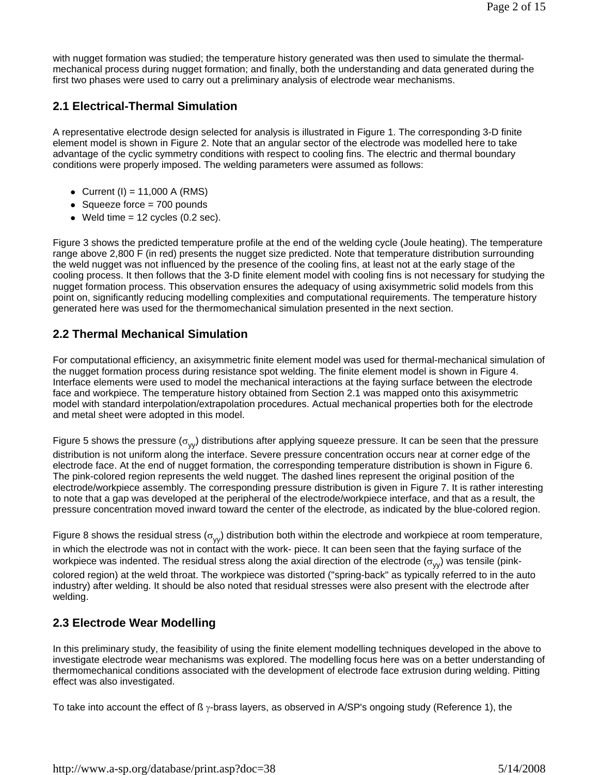with nugget formation was studied; the temperature history generated was then used to simulate the thermalmechanical process during nugget formation; and finally, both the understanding and data generated during the first two phases were used to carry out a preliminary analysis of electrode wear mechanisms.

### **2.1 Electrical-Thermal Simulation**

A representative electrode design selected for analysis is illustrated in Figure 1. The corresponding 3-D finite element model is shown in Figure 2. Note that an angular sector of the electrode was modelled here to take advantage of the cyclic symmetry conditions with respect to cooling fins. The electric and thermal boundary conditions were properly imposed. The welding parameters were assumed as follows:

- Current (I) =  $11,000$  A (RMS)
- $\bullet$  Squeeze force = 700 pounds
- $\bullet$  Weld time = 12 cycles (0.2 sec).

Figure 3 shows the predicted temperature profile at the end of the welding cycle (Joule heating). The temperature range above 2,800 F (in red) presents the nugget size predicted. Note that temperature distribution surrounding the weld nugget was not influenced by the presence of the cooling fins, at least not at the early stage of the cooling process. It then follows that the 3-D finite element model with cooling fins is not necessary for studying the nugget formation process. This observation ensures the adequacy of using axisymmetric solid models from this point on, significantly reducing modelling complexities and computational requirements. The temperature history generated here was used for the thermomechanical simulation presented in the next section.

### **2.2 Thermal Mechanical Simulation**

For computational efficiency, an axisymmetric finite element model was used for thermal-mechanical simulation of the nugget formation process during resistance spot welding. The finite element model is shown in Figure 4. Interface elements were used to model the mechanical interactions at the faying surface between the electrode face and workpiece. The temperature history obtained from Section 2.1 was mapped onto this axisymmetric model with standard interpolation/extrapolation procedures. Actual mechanical properties both for the electrode and metal sheet were adopted in this model.

Figure 5 shows the pressure ( $\sigma_{yy}$ ) distributions after applying squeeze pressure. It can be seen that the pressure distribution is not uniform along the interface. Severe pressure concentration occurs near at corner edge of the electrode face. At the end of nugget formation, the corresponding temperature distribution is shown in Figure 6. The pink-colored region represents the weld nugget. The dashed lines represent the original position of the electrode/workpiece assembly. The corresponding pressure distribution is given in Figure 7. It is rather interesting to note that a gap was developed at the peripheral of the electrode/workpiece interface, and that as a result, the pressure concentration moved inward toward the center of the electrode, as indicated by the blue-colored region.

Figure 8 shows the residual stress ( $\sigma_{yy}$ ) distribution both within the electrode and workpiece at room temperature, in which the electrode was not in contact with the work- piece. It can been seen that the faying surface of the workpiece was indented. The residual stress along the axial direction of the electrode ( $\sigma_{VV}$ ) was tensile (pinkcolored region) at the weld throat. The workpiece was distorted ("spring-back" as typically referred to in the auto industry) after welding. It should be also noted that residual stresses were also present with the electrode after welding.

### **2.3 Electrode Wear Modelling**

In this preliminary study, the feasibility of using the finite element modelling techniques developed in the above to investigate electrode wear mechanisms was explored. The modelling focus here was on a better understanding of thermomechanical conditions associated with the development of electrode face extrusion during welding. Pitting effect was also investigated.

To take into account the effect of ß γ-brass layers, as observed in A/SP's ongoing study (Reference 1), the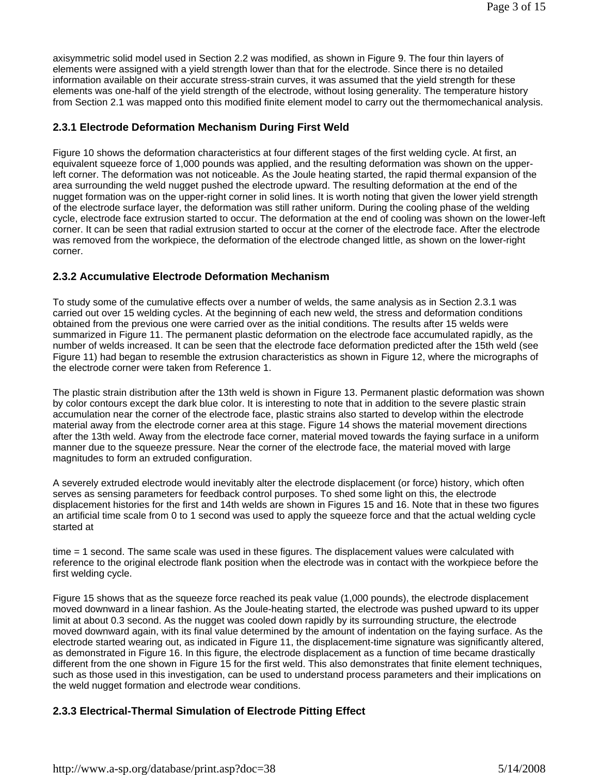axisymmetric solid model used in Section 2.2 was modified, as shown in Figure 9. The four thin layers of elements were assigned with a yield strength lower than that for the electrode. Since there is no detailed information available on their accurate stress-strain curves, it was assumed that the yield strength for these elements was one-half of the yield strength of the electrode, without losing generality. The temperature history from Section 2.1 was mapped onto this modified finite element model to carry out the thermomechanical analysis.

#### **2.3.1 Electrode Deformation Mechanism During First Weld**

Figure 10 shows the deformation characteristics at four different stages of the first welding cycle. At first, an equivalent squeeze force of 1,000 pounds was applied, and the resulting deformation was shown on the upperleft corner. The deformation was not noticeable. As the Joule heating started, the rapid thermal expansion of the area surrounding the weld nugget pushed the electrode upward. The resulting deformation at the end of the nugget formation was on the upper-right corner in solid lines. It is worth noting that given the lower yield strength of the electrode surface layer, the deformation was still rather uniform. During the cooling phase of the welding cycle, electrode face extrusion started to occur. The deformation at the end of cooling was shown on the lower-left corner. It can be seen that radial extrusion started to occur at the corner of the electrode face. After the electrode was removed from the workpiece, the deformation of the electrode changed little, as shown on the lower-right corner.

#### **2.3.2 Accumulative Electrode Deformation Mechanism**

To study some of the cumulative effects over a number of welds, the same analysis as in Section 2.3.1 was carried out over 15 welding cycles. At the beginning of each new weld, the stress and deformation conditions obtained from the previous one were carried over as the initial conditions. The results after 15 welds were summarized in Figure 11. The permanent plastic deformation on the electrode face accumulated rapidly, as the number of welds increased. It can be seen that the electrode face deformation predicted after the 15th weld (see Figure 11) had began to resemble the extrusion characteristics as shown in Figure 12, where the micrographs of the electrode corner were taken from Reference 1.

The plastic strain distribution after the 13th weld is shown in Figure 13. Permanent plastic deformation was shown by color contours except the dark blue color. It is interesting to note that in addition to the severe plastic strain accumulation near the corner of the electrode face, plastic strains also started to develop within the electrode material away from the electrode corner area at this stage. Figure 14 shows the material movement directions after the 13th weld. Away from the electrode face corner, material moved towards the faying surface in a uniform manner due to the squeeze pressure. Near the corner of the electrode face, the material moved with large magnitudes to form an extruded configuration.

A severely extruded electrode would inevitably alter the electrode displacement (or force) history, which often serves as sensing parameters for feedback control purposes. To shed some light on this, the electrode displacement histories for the first and 14th welds are shown in Figures 15 and 16. Note that in these two figures an artificial time scale from 0 to 1 second was used to apply the squeeze force and that the actual welding cycle started at

time = 1 second. The same scale was used in these figures. The displacement values were calculated with reference to the original electrode flank position when the electrode was in contact with the workpiece before the first welding cycle.

Figure 15 shows that as the squeeze force reached its peak value (1,000 pounds), the electrode displacement moved downward in a linear fashion. As the Joule-heating started, the electrode was pushed upward to its upper limit at about 0.3 second. As the nugget was cooled down rapidly by its surrounding structure, the electrode moved downward again, with its final value determined by the amount of indentation on the faying surface. As the electrode started wearing out, as indicated in Figure 11, the displacement-time signature was significantly altered, as demonstrated in Figure 16. In this figure, the electrode displacement as a function of time became drastically different from the one shown in Figure 15 for the first weld. This also demonstrates that finite element techniques, such as those used in this investigation, can be used to understand process parameters and their implications on the weld nugget formation and electrode wear conditions.

#### **2.3.3 Electrical-Thermal Simulation of Electrode Pitting Effect**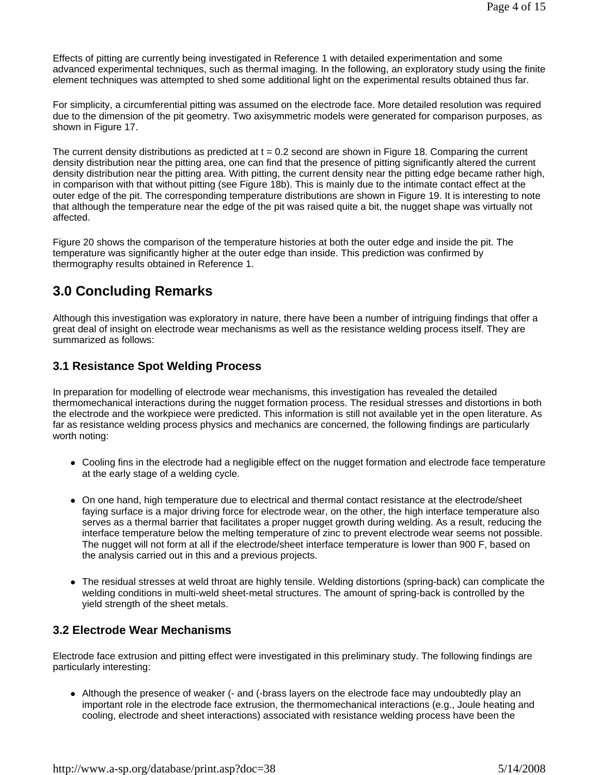Effects of pitting are currently being investigated in Reference 1 with detailed experimentation and some advanced experimental techniques, such as thermal imaging. In the following, an exploratory study using the finite element techniques was attempted to shed some additional light on the experimental results obtained thus far.

For simplicity, a circumferential pitting was assumed on the electrode face. More detailed resolution was required due to the dimension of the pit geometry. Two axisymmetric models were generated for comparison purposes, as shown in Figure 17.

The current density distributions as predicted at  $t = 0.2$  second are shown in Figure 18. Comparing the current density distribution near the pitting area, one can find that the presence of pitting significantly altered the current density distribution near the pitting area. With pitting, the current density near the pitting edge became rather high, in comparison with that without pitting (see Figure 18b). This is mainly due to the intimate contact effect at the outer edge of the pit. The corresponding temperature distributions are shown in Figure 19. It is interesting to note that although the temperature near the edge of the pit was raised quite a bit, the nugget shape was virtually not affected.

Figure 20 shows the comparison of the temperature histories at both the outer edge and inside the pit. The temperature was significantly higher at the outer edge than inside. This prediction was confirmed by thermography results obtained in Reference 1.

## **3.0 Concluding Remarks**

Although this investigation was exploratory in nature, there have been a number of intriguing findings that offer a great deal of insight on electrode wear mechanisms as well as the resistance welding process itself. They are summarized as follows:

### **3.1 Resistance Spot Welding Process**

In preparation for modelling of electrode wear mechanisms, this investigation has revealed the detailed thermomechanical interactions during the nugget formation process. The residual stresses and distortions in both the electrode and the workpiece were predicted. This information is still not available yet in the open literature. As far as resistance welding process physics and mechanics are concerned, the following findings are particularly worth noting:

- Cooling fins in the electrode had a negligible effect on the nugget formation and electrode face temperature at the early stage of a welding cycle.
- On one hand, high temperature due to electrical and thermal contact resistance at the electrode/sheet faying surface is a major driving force for electrode wear, on the other, the high interface temperature also serves as a thermal barrier that facilitates a proper nugget growth during welding. As a result, reducing the interface temperature below the melting temperature of zinc to prevent electrode wear seems not possible. The nugget will not form at all if the electrode/sheet interface temperature is lower than 900 F, based on the analysis carried out in this and a previous projects.
- The residual stresses at weld throat are highly tensile. Welding distortions (spring-back) can complicate the welding conditions in multi-weld sheet-metal structures. The amount of spring-back is controlled by the yield strength of the sheet metals.

#### **3.2 Electrode Wear Mechanisms**

Electrode face extrusion and pitting effect were investigated in this preliminary study. The following findings are particularly interesting:

• Although the presence of weaker (- and (-brass layers on the electrode face may undoubtedly play an important role in the electrode face extrusion, the thermomechanical interactions (e.g., Joule heating and cooling, electrode and sheet interactions) associated with resistance welding process have been the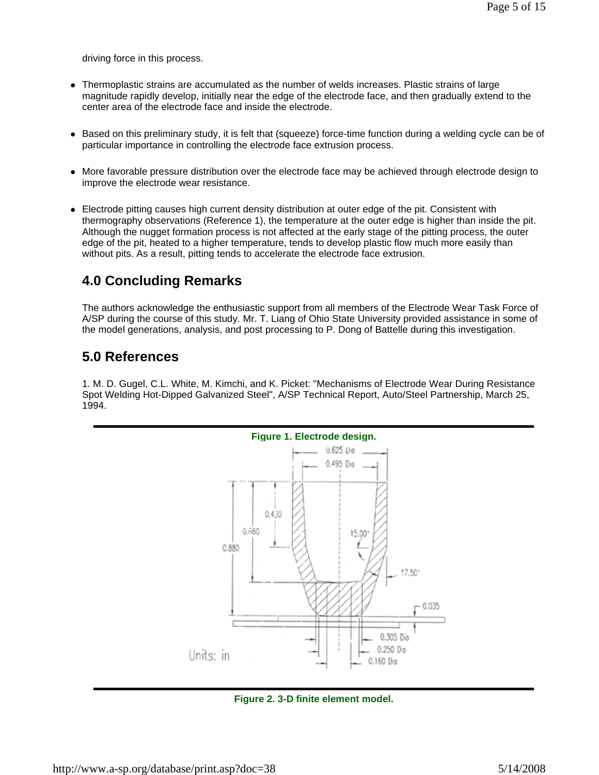driving force in this process.

- Thermoplastic strains are accumulated as the number of welds increases. Plastic strains of large magnitude rapidly develop, initially near the edge of the electrode face, and then gradually extend to the center area of the electrode face and inside the electrode.
- Based on this preliminary study, it is felt that (squeeze) force-time function during a welding cycle can be of particular importance in controlling the electrode face extrusion process.
- More favorable pressure distribution over the electrode face may be achieved through electrode design to improve the electrode wear resistance.
- Electrode pitting causes high current density distribution at outer edge of the pit. Consistent with thermography observations (Reference 1), the temperature at the outer edge is higher than inside the pit. Although the nugget formation process is not affected at the early stage of the pitting process, the outer edge of the pit, heated to a higher temperature, tends to develop plastic flow much more easily than without pits. As a result, pitting tends to accelerate the electrode face extrusion.

## **4.0 Concluding Remarks**

The authors acknowledge the enthusiastic support from all members of the Electrode Wear Task Force of A/SP during the course of this study. Mr. T. Liang of Ohio State University provided assistance in some of the model generations, analysis, and post processing to P. Dong of Battelle during this investigation.

### **5.0 References**

1. M. D. Gugel, C.L. White, M. Kimchi, and K. Picket: "Mechanisms of Electrode Wear During Resistance Spot Welding Hot-Dipped Galvanized Steel", A/SP Technical Report, Auto/Steel Partnership, March 25, 1994.



**Figure 2. 3-D finite element model.**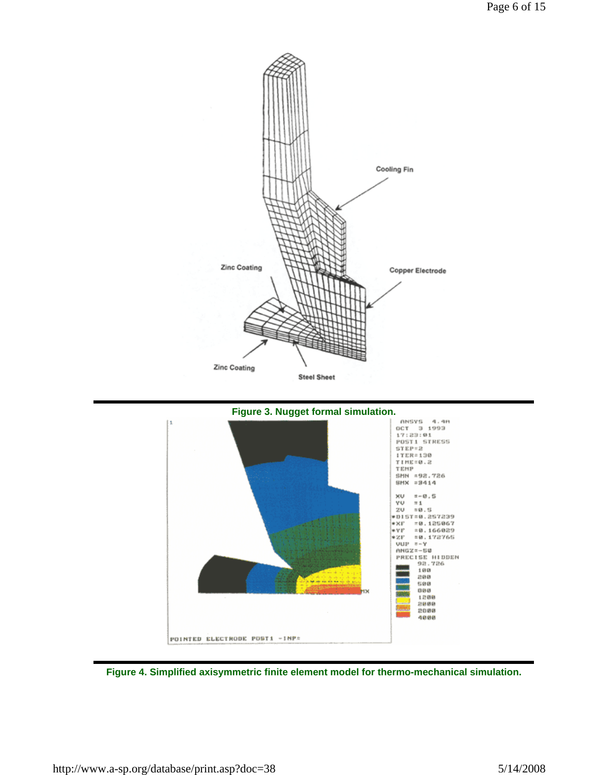



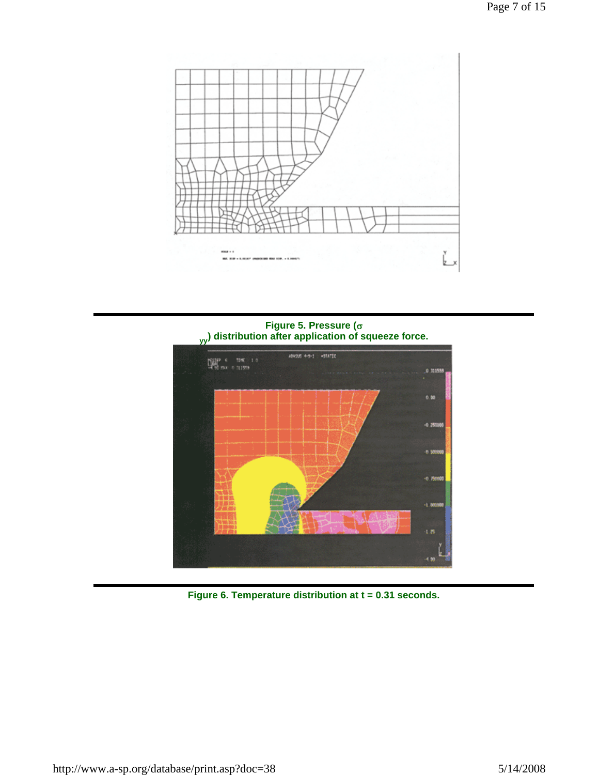

**Figure 5. Pressure (**σ **yy) distribution after application of squeeze force.**



**Figure 6. Temperature distribution at t = 0.31 seconds.**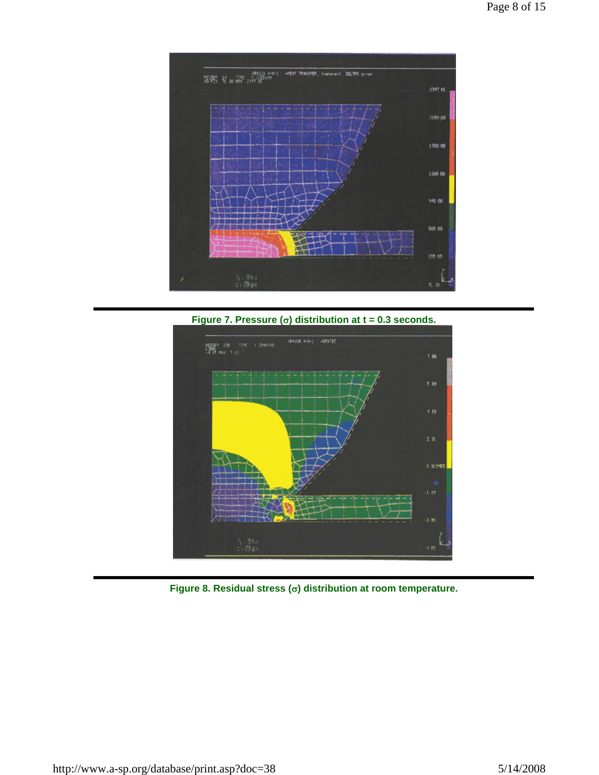

**Figure 7. Pressure (**σ**) distribution at t = 0.3 seconds.**



**Figure 8. Residual stress (**σ**) distribution at room temperature.**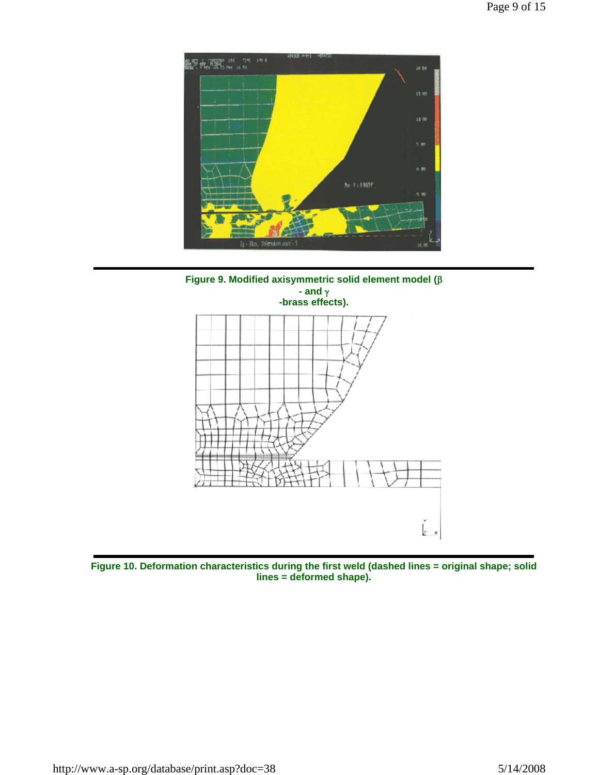



**Figure 10. Deformation characteristics during the first weld (dashed lines = original shape; solid lines = deformed shape).**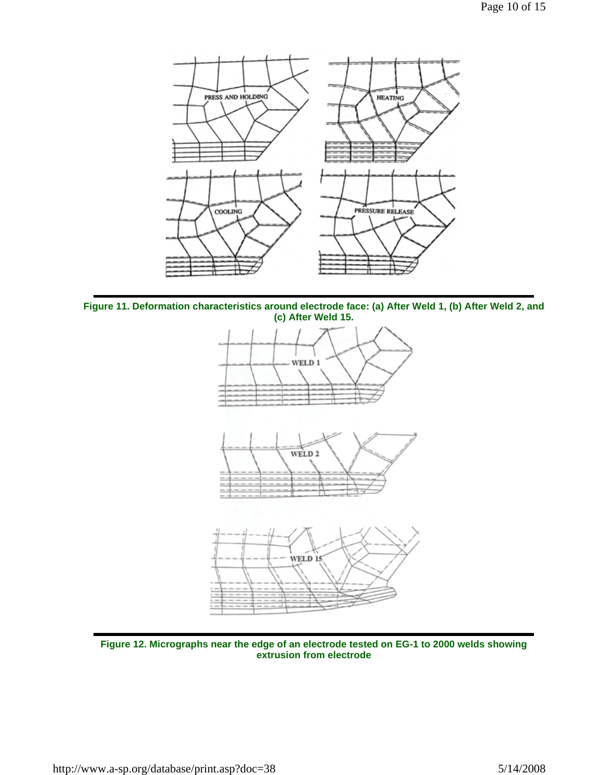

**Figure 11. Deformation characteristics around electrode face: (a) After Weld 1, (b) After Weld 2, and (c) After Weld 15.**



**Figure 12. Micrographs near the edge of an electrode tested on EG-1 to 2000 welds showing extrusion from electrode**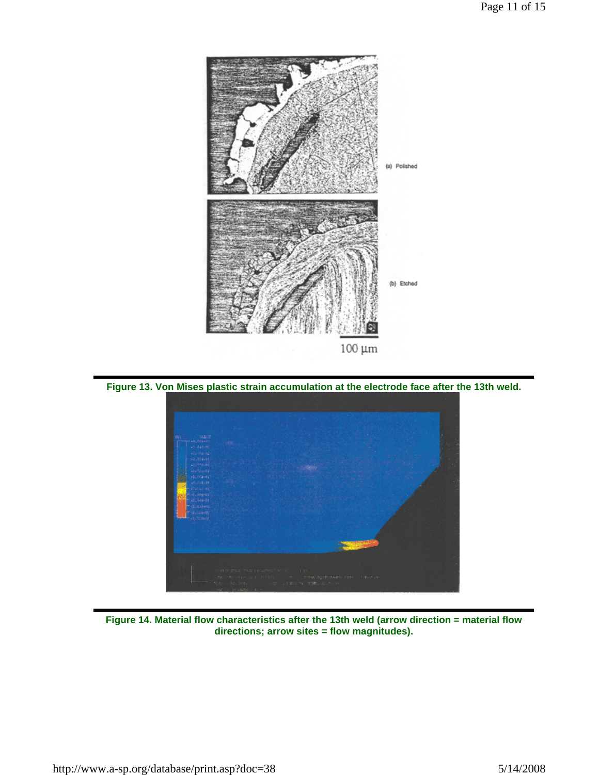

**Figure 13. Von Mises plastic strain accumulation at the electrode face after the 13th weld.**



**Figure 14. Material flow characteristics after the 13th weld (arrow direction = material flow directions; arrow sites = flow magnitudes).**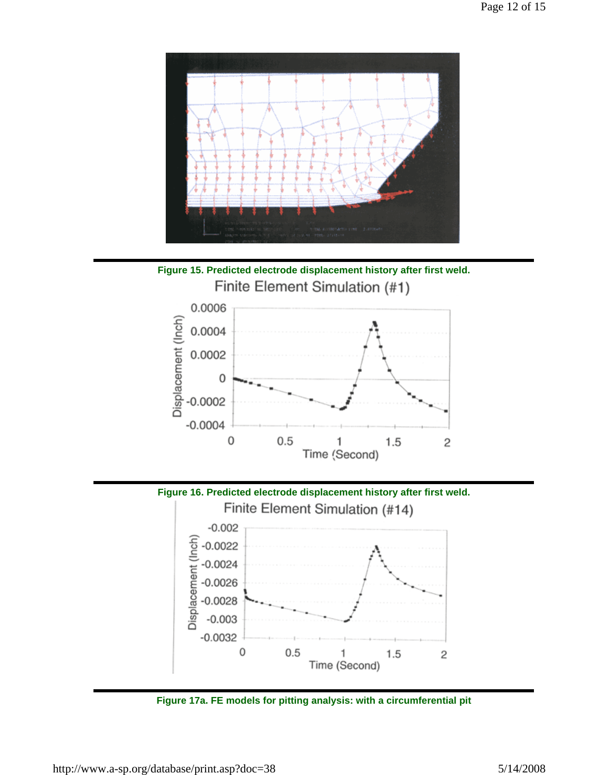

**Figure 15. Predicted electrode displacement history after first weld.** Finite Element Simulation (#1)



**Figure 16. Predicted electrode displacement history after first weld.**



**Figure 17a. FE models for pitting analysis: with a circumferential pit**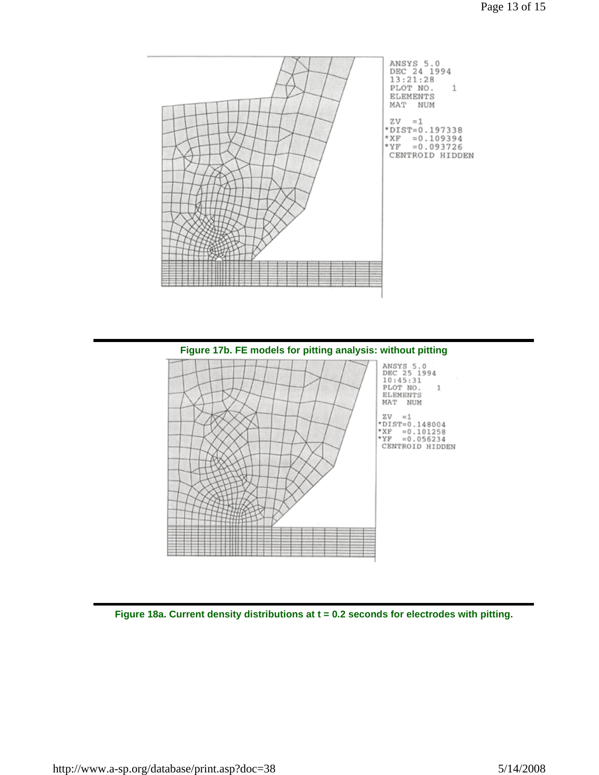



**Figure 18a. Current density distributions at t = 0.2 seconds for electrodes with pitting.**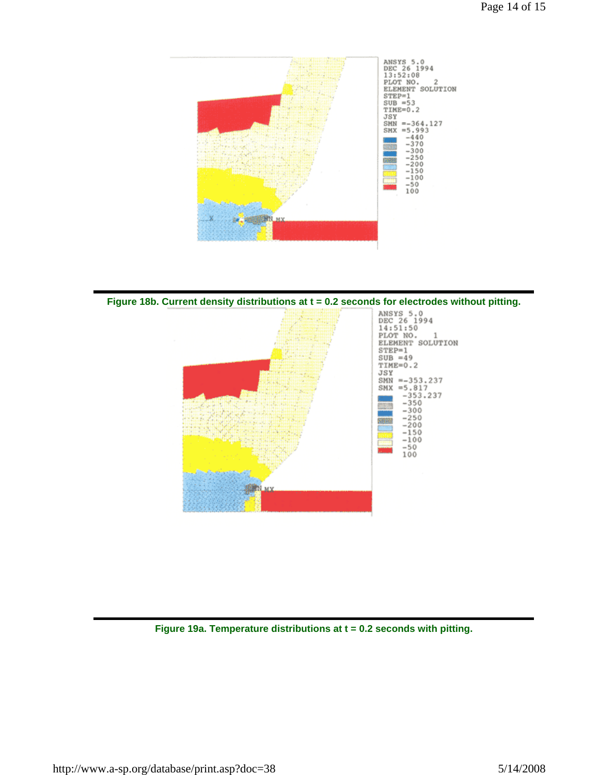



**Figure 19a. Temperature distributions at t = 0.2 seconds with pitting.**